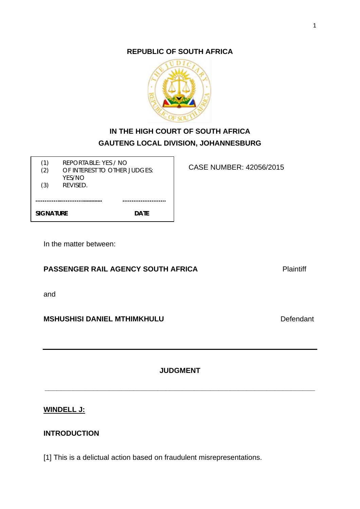**REPUBLIC OF SOUTH AFRICA**



# **IN THE HIGH COURT OF SOUTH AFRICA GAUTENG LOCAL DIVISION, JOHANNESBURG**

CASE NUMBER: 42056/2015

| (1)              | REPORTABLE: YES / NO         |      |
|------------------|------------------------------|------|
| (2)              | OF INTEREST TO OTHER JUDGES: |      |
| (3)              | YES/NO<br>REVISED.           |      |
|                  |                              |      |
|                  |                              |      |
| <b>SIGNATURE</b> |                              | DATF |

In the matter between:

**PASSENGER RAIL AGENCY SOUTH AFRICA** Plaintiff

and

**MSHUSHISI DANIEL MTHIMKHULU** Defendant

**JUDGMENT**

**\_\_\_\_\_\_\_\_\_\_\_\_\_\_\_\_\_\_\_\_\_\_\_\_\_\_\_\_\_\_\_\_\_\_\_\_\_\_\_\_\_\_\_\_\_\_\_\_\_\_\_\_\_\_\_\_\_\_\_\_\_\_\_\_\_\_\_**

# **WINDELL J:**

# **INTRODUCTION**

[1] This is a delictual action based on fraudulent misrepresentations.

1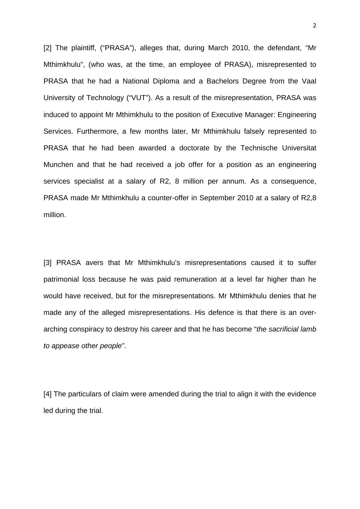[2] The plaintiff, ("PRASA"), alleges that, during March 2010, the defendant, "Mr Mthimkhulu", (who was, at the time, an employee of PRASA), misrepresented to PRASA that he had a National Diploma and a Bachelors Degree from the Vaal University of Technology ("VUT"). As a result of the misrepresentation, PRASA was induced to appoint Mr Mthimkhulu to the position of Executive Manager: Engineering Services. Furthermore, a few months later, Mr Mthimkhulu falsely represented to PRASA that he had been awarded a doctorate by the Technische Universitat Munchen and that he had received a job offer for a position as an engineering services specialist at a salary of R2, 8 million per annum. As a consequence, PRASA made Mr Mthimkhulu a counter-offer in September 2010 at a salary of R2,8 million.

[3] PRASA avers that Mr Mthimkhulu's misrepresentations caused it to suffer patrimonial loss because he was paid remuneration at a level far higher than he would have received, but for the misrepresentations. Mr Mthimkhulu denies that he made any of the alleged misrepresentations. His defence is that there is an overarching conspiracy to destroy his career and that he has become "*the sacrificial lamb to appease other people"*.

[4] The particulars of claim were amended during the trial to align it with the evidence led during the trial.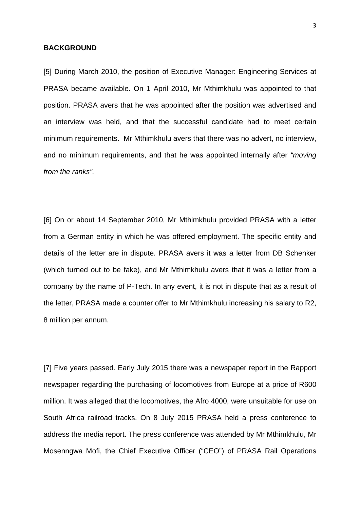#### **BACKGROUND**

[5] During March 2010, the position of Executive Manager: Engineering Services at PRASA became available. On 1 April 2010, Mr Mthimkhulu was appointed to that position. PRASA avers that he was appointed after the position was advertised and an interview was held, and that the successful candidate had to meet certain minimum requirements. Mr Mthimkhulu avers that there was no advert, no interview, and no minimum requirements, and that he was appointed internally after *"moving from the ranks".*

[6] On or about 14 September 2010, Mr Mthimkhulu provided PRASA with a letter from a German entity in which he was offered employment. The specific entity and details of the letter are in dispute. PRASA avers it was a letter from DB Schenker (which turned out to be fake), and Mr Mthimkhulu avers that it was a letter from a company by the name of P-Tech. In any event, it is not in dispute that as a result of the letter, PRASA made a counter offer to Mr Mthimkhulu increasing his salary to R2, 8 million per annum.

[7] Five years passed. Early July 2015 there was a newspaper report in the Rapport newspaper regarding the purchasing of locomotives from Europe at a price of R600 million. It was alleged that the locomotives, the Afro 4000, were unsuitable for use on South Africa railroad tracks. On 8 July 2015 PRASA held a press conference to address the media report. The press conference was attended by Mr Mthimkhulu, Mr Mosenngwa Mofi, the Chief Executive Officer ("CEO") of PRASA Rail Operations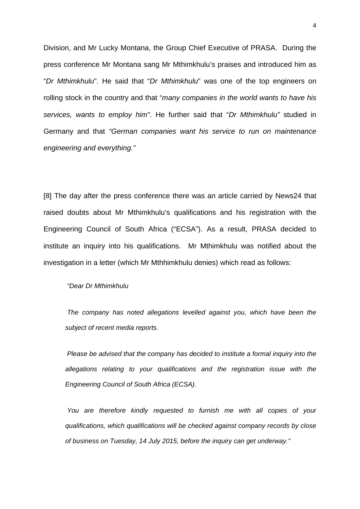Division, and Mr Lucky Montana, the Group Chief Executive of PRASA. During the press conference Mr Montana sang Mr Mthimkhulu's praises and introduced him as "*Dr Mthimkhulu*". He said that "*Dr Mthimkhulu*" was one of the top engineers on rolling stock in the country and that "*many companies in the world wants to have his services, wants to employ him"*. He further said that "*Dr Mthimkhulu"* studied in Germany and that *"German companies want his service to run on maintenance engineering and everything."*

[8] The day after the press conference there was an article carried by News24 that raised doubts about Mr Mthimkhulu's qualifications and his registration with the Engineering Council of South Africa ("ECSA"). As a result, PRASA decided to institute an inquiry into his qualifications. Mr Mthimkhulu was notified about the investigation in a letter (which Mr Mthhimkhulu denies) which read as follows:

*"Dear Dr Mthimkhulu*

*The company has noted allegations levelled against you, which have been the subject of recent media reports.*

*Please be advised that the company has decided to institute a formal inquiry into the allegations relating to your qualifications and the registration issue with the Engineering Council of South Africa (ECSA).*

*You are therefore kindly requested to furnish me with all copies of your qualifications, which qualifications will be checked against company records by close of business on Tuesday, 14 July 2015, before the inquiry can get underway."*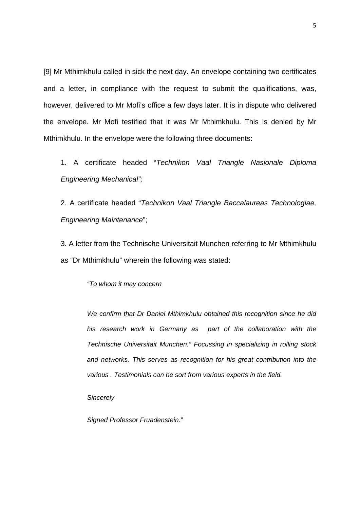[9] Mr Mthimkhulu called in sick the next day. An envelope containing two certificates and a letter, in compliance with the request to submit the qualifications, was, however, delivered to Mr Mofi's office a few days later. It is in dispute who delivered the envelope. Mr Mofi testified that it was Mr Mthimkhulu. This is denied by Mr Mthimkhulu. In the envelope were the following three documents:

1. A certificate headed "*Technikon Vaal Triangle Nasionale Diploma Engineering Mechanical";* 

2. A certificate headed "*Technikon Vaal Triangle Baccalaureas Technologiae, Engineering Maintenance*";

3. A letter from the Technische Universitait Munchen referring to Mr Mthimkhulu as "Dr Mthimkhulu" wherein the following was stated:

*"To whom it may concern*

*We confirm that Dr Daniel Mthimkhulu obtained this recognition since he did his research work in Germany as part of the collaboration with the Technische Universitait Munchen." Focussing in specializing in rolling stock and networks. This serves as recognition for his great contribution into the various . Testimonials can be sort from various experts in the field.* 

*Sincerely* 

*Signed Professor Fruadenstein."*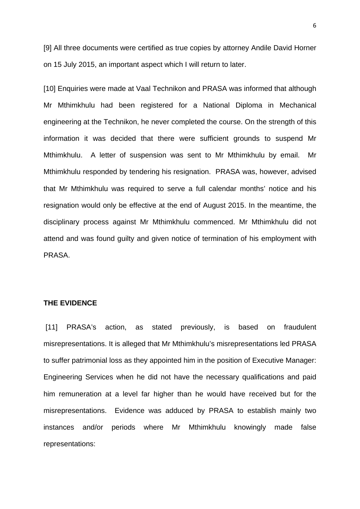[9] All three documents were certified as true copies by attorney Andile David Horner on 15 July 2015, an important aspect which I will return to later.

[10] Enquiries were made at Vaal Technikon and PRASA was informed that although Mr Mthimkhulu had been registered for a National Diploma in Mechanical engineering at the Technikon, he never completed the course. On the strength of this information it was decided that there were sufficient grounds to suspend Mr Mthimkhulu. A letter of suspension was sent to Mr Mthimkhulu by email. Mr Mthimkhulu responded by tendering his resignation. PRASA was, however, advised that Mr Mthimkhulu was required to serve a full calendar months' notice and his resignation would only be effective at the end of August 2015. In the meantime, the disciplinary process against Mr Mthimkhulu commenced. Mr Mthimkhulu did not attend and was found guilty and given notice of termination of his employment with PRASA.

#### **THE EVIDENCE**

[11] PRASA's action, as stated previously, is based on fraudulent misrepresentations. It is alleged that Mr Mthimkhulu's misrepresentations led PRASA to suffer patrimonial loss as they appointed him in the position of Executive Manager: Engineering Services when he did not have the necessary qualifications and paid him remuneration at a level far higher than he would have received but for the misrepresentations. Evidence was adduced by PRASA to establish mainly two instances and/or periods where Mr Mthimkhulu knowingly made false representations: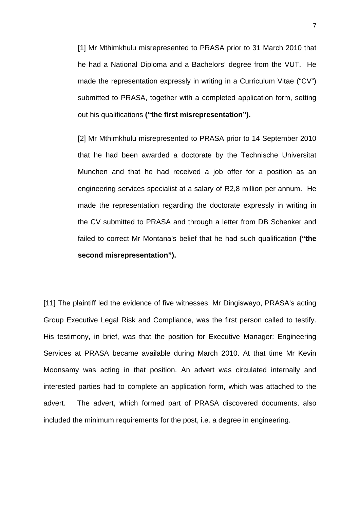[1] Mr Mthimkhulu misrepresented to PRASA prior to 31 March 2010 that he had a National Diploma and a Bachelors' degree from the VUT. He made the representation expressly in writing in a Curriculum Vitae ("CV") submitted to PRASA, together with a completed application form, setting out his qualifications **("the first misrepresentation").**

[2] Mr Mthimkhulu misrepresented to PRASA prior to 14 September 2010 that he had been awarded a doctorate by the Technische Universitat Munchen and that he had received a job offer for a position as an engineering services specialist at a salary of R2,8 million per annum. He made the representation regarding the doctorate expressly in writing in the CV submitted to PRASA and through a letter from DB Schenker and failed to correct Mr Montana's belief that he had such qualification **("the second misrepresentation").**

[11] The plaintiff led the evidence of five witnesses. Mr Dingiswayo, PRASA's acting Group Executive Legal Risk and Compliance, was the first person called to testify. His testimony, in brief, was that the position for Executive Manager: Engineering Services at PRASA became available during March 2010. At that time Mr Kevin Moonsamy was acting in that position. An advert was circulated internally and interested parties had to complete an application form, which was attached to the advert. The advert, which formed part of PRASA discovered documents, also included the minimum requirements for the post, i.e. a degree in engineering.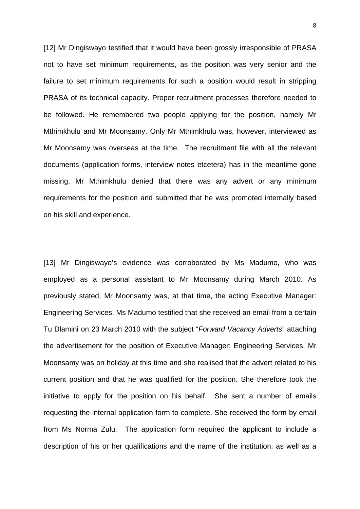[12] Mr Dingiswayo testified that it would have been grossly irresponsible of PRASA not to have set minimum requirements, as the position was very senior and the failure to set minimum requirements for such a position would result in stripping PRASA of its technical capacity. Proper recruitment processes therefore needed to be followed. He remembered two people applying for the position, namely Mr Mthimkhulu and Mr Moonsamy. Only Mr Mthimkhulu was, however, interviewed as Mr Moonsamy was overseas at the time. The recruitment file with all the relevant documents (application forms, interview notes etcetera) has in the meantime gone missing. Mr Mthimkhulu denied that there was any advert or any minimum requirements for the position and submitted that he was promoted internally based on his skill and experience.

[13] Mr Dingiswayo's evidence was corroborated by Ms Madumo, who was employed as a personal assistant to Mr Moonsamy during March 2010. As previously stated, Mr Moonsamy was, at that time, the acting Executive Manager: Engineering Services. Ms Madumo testified that she received an email from a certain Tu Dlamini on 23 March 2010 with the subject "*Forward Vacancy Adverts*" attaching the advertisement for the position of Executive Manager: Engineering Services. Mr Moonsamy was on holiday at this time and she realised that the advert related to his current position and that he was qualified for the position. She therefore took the initiative to apply for the position on his behalf. She sent a number of emails requesting the internal application form to complete. She received the form by email from Ms Norma Zulu. The application form required the applicant to include a description of his or her qualifications and the name of the institution, as well as a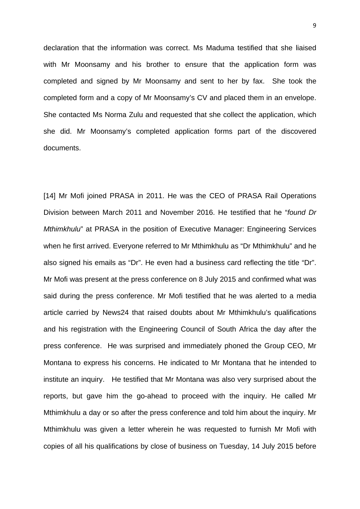declaration that the information was correct. Ms Maduma testified that she liaised with Mr Moonsamy and his brother to ensure that the application form was completed and signed by Mr Moonsamy and sent to her by fax. She took the completed form and a copy of Mr Moonsamy's CV and placed them in an envelope. She contacted Ms Norma Zulu and requested that she collect the application, which she did. Mr Moonsamy's completed application forms part of the discovered documents.

[14] Mr Mofi joined PRASA in 2011. He was the CEO of PRASA Rail Operations Division between March 2011 and November 2016. He testified that he "*found Dr Mthimkhulu*" at PRASA in the position of Executive Manager: Engineering Services when he first arrived. Everyone referred to Mr Mthimkhulu as "Dr Mthimkhulu" and he also signed his emails as "Dr". He even had a business card reflecting the title "Dr". Mr Mofi was present at the press conference on 8 July 2015 and confirmed what was said during the press conference. Mr Mofi testified that he was alerted to a media article carried by News24 that raised doubts about Mr Mthimkhulu's qualifications and his registration with the Engineering Council of South Africa the day after the press conference. He was surprised and immediately phoned the Group CEO, Mr Montana to express his concerns. He indicated to Mr Montana that he intended to institute an inquiry. He testified that Mr Montana was also very surprised about the reports, but gave him the go-ahead to proceed with the inquiry. He called Mr Mthimkhulu a day or so after the press conference and told him about the inquiry. Mr Mthimkhulu was given a letter wherein he was requested to furnish Mr Mofi with copies of all his qualifications by close of business on Tuesday, 14 July 2015 before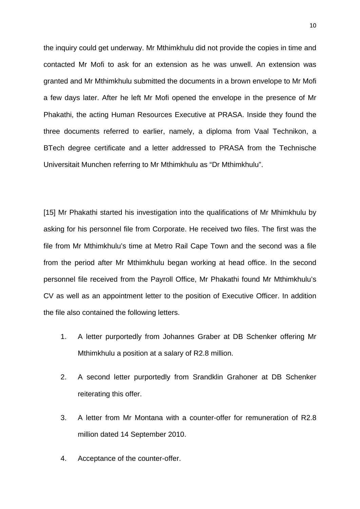the inquiry could get underway. Mr Mthimkhulu did not provide the copies in time and contacted Mr Mofi to ask for an extension as he was unwell. An extension was granted and Mr Mthimkhulu submitted the documents in a brown envelope to Mr Mofi a few days later. After he left Mr Mofi opened the envelope in the presence of Mr Phakathi, the acting Human Resources Executive at PRASA. Inside they found the three documents referred to earlier, namely, a diploma from Vaal Technikon, a BTech degree certificate and a letter addressed to PRASA from the Technische Universitait Munchen referring to Mr Mthimkhulu as "Dr Mthimkhulu".

[15] Mr Phakathi started his investigation into the qualifications of Mr Mhimkhulu by asking for his personnel file from Corporate. He received two files. The first was the file from Mr Mthimkhulu's time at Metro Rail Cape Town and the second was a file from the period after Mr Mthimkhulu began working at head office. In the second personnel file received from the Payroll Office, Mr Phakathi found Mr Mthimkhulu's CV as well as an appointment letter to the position of Executive Officer. In addition the file also contained the following letters.

- 1. A letter purportedly from Johannes Graber at DB Schenker offering Mr Mthimkhulu a position at a salary of R2.8 million.
- 2. A second letter purportedly from Srandklin Grahoner at DB Schenker reiterating this offer.
- 3. A letter from Mr Montana with a counter-offer for remuneration of R2.8 million dated 14 September 2010.
- 4. Acceptance of the counter-offer.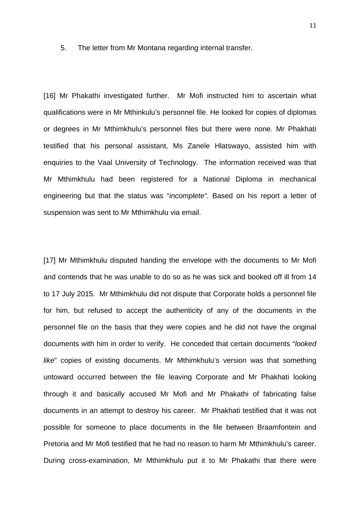5. The letter from Mr Montana regarding internal transfer.

[16] Mr Phakathi investigated further. Mr Mofi instructed him to ascertain what qualifications were in Mr Mthinkulu's personnel file. He looked for copies of diplomas or degrees in Mr Mthimkhulu's personnel files but there were none. Mr Phakhati testified that his personal assistant, Ms Zanele Hlatswayo, assisted him with enquiries to the Vaal University of Technology. The information received was that Mr Mthimkhulu had been registered for a National Diploma in mechanical engineering but that the status was "*incomplete".* Based on his report a letter of suspension was sent to Mr Mthimkhulu via email.

[17] Mr Mthimkhulu disputed handing the envelope with the documents to Mr Mofi and contends that he was unable to do so as he was sick and booked off ill from 14 to 17 July 2015. Mr Mthimkhulu did not dispute that Corporate holds a personnel file for him, but refused to accept the authenticity of any of the documents in the personnel file on the basis that they were copies and he did not have the original documents with him in order to verify. He conceded that certain documents "*looked like*" copies of existing documents. Mr Mthimkhulu's version was that something untoward occurred between the file leaving Corporate and Mr Phakhati looking through it and basically accused Mr Mofi and Mr Phakathi of fabricating false documents in an attempt to destroy his career. Mr Phakhati testified that it was not possible for someone to place documents in the file between Braamfontein and Pretoria and Mr Mofi testified that he had no reason to harm Mr Mthimkhulu's career. During cross-examination, Mr Mthimkhulu put it to Mr Phakathi that there were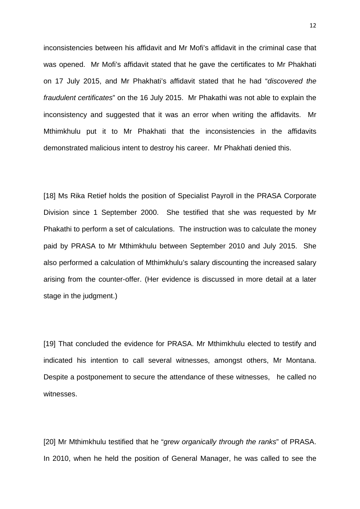inconsistencies between his affidavit and Mr Mofi's affidavit in the criminal case that was opened. Mr Mofi's affidavit stated that he gave the certificates to Mr Phakhati on 17 July 2015, and Mr Phakhati's affidavit stated that he had "*discovered the fraudulent certificates*" on the 16 July 2015. Mr Phakathi was not able to explain the inconsistency and suggested that it was an error when writing the affidavits. Mr Mthimkhulu put it to Mr Phakhati that the inconsistencies in the affidavits demonstrated malicious intent to destroy his career. Mr Phakhati denied this.

[18] Ms Rika Retief holds the position of Specialist Payroll in the PRASA Corporate Division since 1 September 2000. She testified that she was requested by Mr Phakathi to perform a set of calculations. The instruction was to calculate the money paid by PRASA to Mr Mthimkhulu between September 2010 and July 2015. She also performed a calculation of Mthimkhulu's salary discounting the increased salary arising from the counter-offer. (Her evidence is discussed in more detail at a later stage in the judgment.)

[19] That concluded the evidence for PRASA. Mr Mthimkhulu elected to testify and indicated his intention to call several witnesses, amongst others, Mr Montana. Despite a postponement to secure the attendance of these witnesses, he called no witnesses.

[20] Mr Mthimkhulu testified that he "*grew organically through the ranks*" of PRASA. In 2010, when he held the position of General Manager, he was called to see the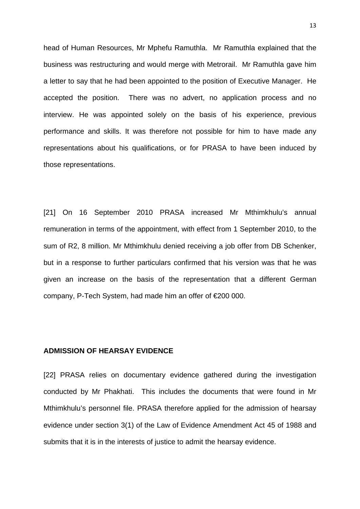head of Human Resources, Mr Mphefu Ramuthla. Mr Ramuthla explained that the business was restructuring and would merge with Metrorail. Mr Ramuthla gave him a letter to say that he had been appointed to the position of Executive Manager. He accepted the position. There was no advert, no application process and no interview. He was appointed solely on the basis of his experience, previous performance and skills. It was therefore not possible for him to have made any representations about his qualifications, or for PRASA to have been induced by those representations.

[21] On 16 September 2010 PRASA increased Mr Mthimkhulu's annual remuneration in terms of the appointment, with effect from 1 September 2010, to the sum of R2, 8 million. Mr Mthimkhulu denied receiving a job offer from DB Schenker, but in a response to further particulars confirmed that his version was that he was given an increase on the basis of the representation that a different German company, P-Tech System, had made him an offer of €200 000.

### **ADMISSION OF HEARSAY EVIDENCE**

[22] PRASA relies on documentary evidence gathered during the investigation conducted by Mr Phakhati. This includes the documents that were found in Mr Mthimkhulu's personnel file. PRASA therefore applied for the admission of hearsay evidence under section 3(1) of the Law of Evidence Amendment Act 45 of 1988 and submits that it is in the interests of justice to admit the hearsay evidence.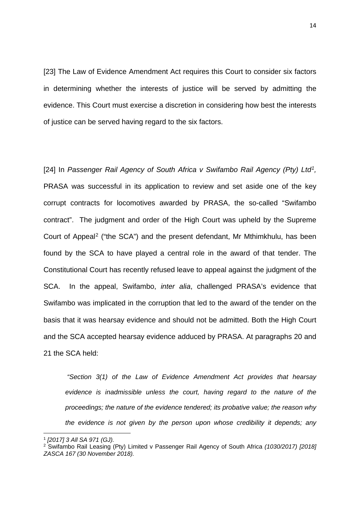[23] The Law of Evidence Amendment Act requires this Court to consider six factors in determining whether the interests of justice will be served by admitting the evidence. This Court must exercise a discretion in considering how best the interests of justice can be served having regard to the six factors.

[24] In *Passenger Rail Agency of South Africa v Swifambo Rail Agency (Pty) Ltd[1,](#page-13-0)* PRASA was successful in its application to review and set aside one of the key corrupt contracts for locomotives awarded by PRASA, the so-called "Swifambo contract". The judgment and order of the High Court was upheld by the Supreme Court of Appeal[2](#page-13-1) ("the SCA") and the present defendant, Mr Mthimkhulu, has been found by the SCA to have played a central role in the award of that tender. The Constitutional Court has recently refused leave to appeal against the judgment of the SCA. In the appeal, Swifambo, *inter alia*, challenged PRASA's evidence that Swifambo was implicated in the corruption that led to the award of the tender on the basis that it was hearsay evidence and should not be admitted. Both the High Court and the SCA accepted hearsay evidence adduced by PRASA. At paragraphs 20 and 21 the SCA held:

*"Section 3(1) of the Law of Evidence Amendment Act provides that hearsay evidence is inadmissible unless the court, having regard to the nature of the proceedings; the nature of the evidence tendered; its probative value; the reason why the evidence is not given by the person upon whose credibility it depends; any* 

<span id="page-13-0"></span><sup>1</sup> *[2017] 3 All SA 971 (GJ).*

<span id="page-13-1"></span><sup>2</sup> Swifambo Rail Leasing (Pty) Limited v Passenger Rail Agency of South Africa *(1030/2017) [2018] ZASCA 167 (30 November 2018).*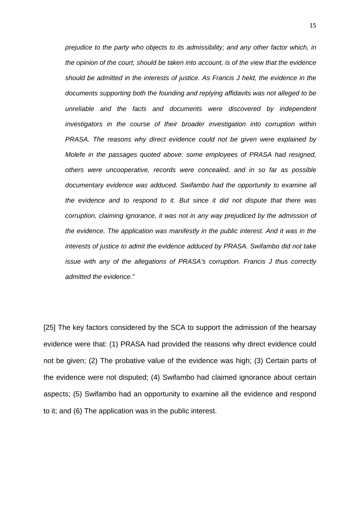*prejudice to the party who objects to its admissibility; and any other factor which, in the opinion of the court, should be taken into account, is of the view that the evidence should be admitted in the interests of justice. As Francis J held, the evidence in the documents supporting both the founding and replying affidavits was not alleged to be unreliable and the facts and documents were discovered by independent investigators in the course of their broader investigation into corruption within PRASA. The reasons why direct evidence could not be given were explained by Molefe in the passages quoted above: some employees of PRASA had resigned, others were uncooperative, records were concealed, and in so far as possible*  documentary evidence was adduced. Swifambo had the opportunity to examine all *the evidence and to respond to it. But since it did not dispute that there was corruption, claiming ignorance, it was not in any way prejudiced by the admission of the evidence. The application was manifestly in the public interest. And it was in the interests of justice to admit the evidence adduced by PRASA. Swifambo did not take issue with any of the allegations of PRASA's corruption. Francis J thus correctly admitted the evidence."*

[25] The key factors considered by the SCA to support the admission of the hearsay evidence were that: (1) PRASA had provided the reasons why direct evidence could not be given; (2) The probative value of the evidence was high; (3) Certain parts of the evidence were not disputed; (4) Swifambo had claimed ignorance about certain aspects; (5) Swifambo had an opportunity to examine all the evidence and respond to it; and (6) The application was in the public interest.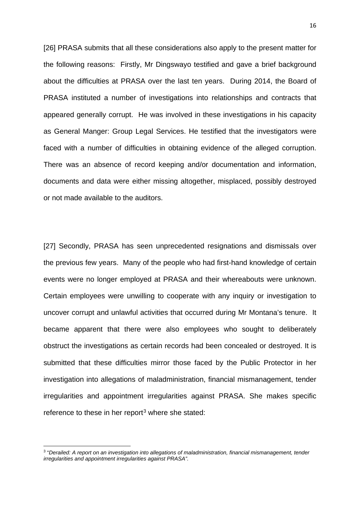[26] PRASA submits that all these considerations also apply to the present matter for the following reasons: Firstly, Mr Dingswayo testified and gave a brief background about the difficulties at PRASA over the last ten years. During 2014, the Board of PRASA instituted a number of investigations into relationships and contracts that appeared generally corrupt. He was involved in these investigations in his capacity as General Manger: Group Legal Services. He testified that the investigators were faced with a number of difficulties in obtaining evidence of the alleged corruption. There was an absence of record keeping and/or documentation and information, documents and data were either missing altogether, misplaced, possibly destroyed or not made available to the auditors.

[27] Secondly, PRASA has seen unprecedented resignations and dismissals over the previous few years. Many of the people who had first-hand knowledge of certain events were no longer employed at PRASA and their whereabouts were unknown. Certain employees were unwilling to cooperate with any inquiry or investigation to uncover corrupt and unlawful activities that occurred during Mr Montana's tenure. It became apparent that there were also employees who sought to deliberately obstruct the investigations as certain records had been concealed or destroyed. It is submitted that these difficulties mirror those faced by the Public Protector in her investigation into allegations of maladministration, financial mismanagement, tender irregularities and appointment irregularities against PRASA. She makes specific reference to these in her report<sup>[3](#page-15-0)</sup> where she stated:

<span id="page-15-0"></span><sup>3</sup> "*Derailed: A report on an investigation into allegations of maladministration, financial mismanagement, tender irregularities and appointment irregularities against PRASA".*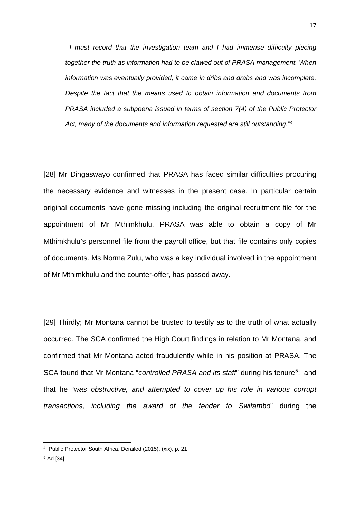*"I must record that the investigation team and I had immense difficulty piecing together the truth as information had to be clawed out of PRASA management. When information was eventually provided, it came in dribs and drabs and was incomplete. Despite the fact that the means used to obtain information and documents from PRASA included a subpoena issued in terms of section 7(4) of the Public Protector Act, many of the documents and information requested are still outstanding."[4](#page-16-0)*

[28] Mr Dingaswayo confirmed that PRASA has faced similar difficulties procuring the necessary evidence and witnesses in the present case. In particular certain original documents have gone missing including the original recruitment file for the appointment of Mr Mthimkhulu. PRASA was able to obtain a copy of Mr Mthimkhulu's personnel file from the payroll office, but that file contains only copies of documents. Ms Norma Zulu, who was a key individual involved in the appointment of Mr Mthimkhulu and the counter-offer, has passed away.

[29] Thirdly; Mr Montana cannot be trusted to testify as to the truth of what actually occurred. The SCA confirmed the High Court findings in relation to Mr Montana, and confirmed that Mr Montana acted fraudulently while in his position at PRASA. The SCA found that Mr Montana "*controlled PRASA and its staff*" during his tenure<sup>5</sup>; and that he "*was obstructive, and attempted to cover up his role in various corrupt transactions, including the award of the tender to Swifambo*" during the

<span id="page-16-1"></span><span id="page-16-0"></span><sup>4</sup> Public Protector South Africa, Derailed (2015), (xix), p. 21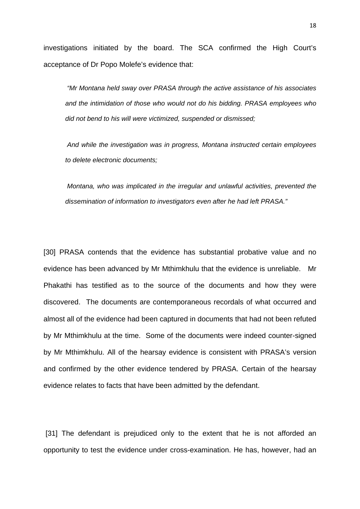investigations initiated by the board. The SCA confirmed the High Court's acceptance of Dr Popo Molefe's evidence that:

*"Mr Montana held sway over PRASA through the active assistance of his associates and the intimidation of those who would not do his bidding. PRASA employees who did not bend to his will were victimized, suspended or dismissed;*

*And while the investigation was in progress, Montana instructed certain employees to delete electronic documents;*

*Montana, who was implicated in the irregular and unlawful activities, prevented the dissemination of information to investigators even after he had left PRASA."*

[30] PRASA contends that the evidence has substantial probative value and no evidence has been advanced by Mr Mthimkhulu that the evidence is unreliable. Mr Phakathi has testified as to the source of the documents and how they were discovered. The documents are contemporaneous recordals of what occurred and almost all of the evidence had been captured in documents that had not been refuted by Mr Mthimkhulu at the time. Some of the documents were indeed counter-signed by Mr Mthimkhulu. All of the hearsay evidence is consistent with PRASA's version and confirmed by the other evidence tendered by PRASA. Certain of the hearsay evidence relates to facts that have been admitted by the defendant.

[31] The defendant is prejudiced only to the extent that he is not afforded an opportunity to test the evidence under cross-examination. He has, however, had an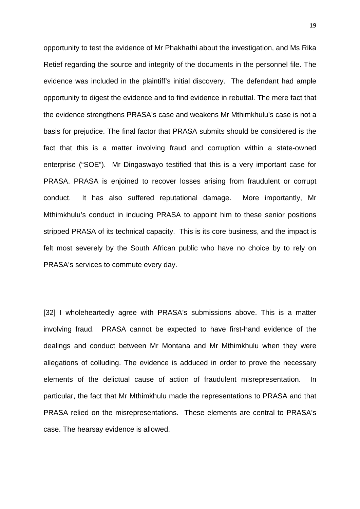opportunity to test the evidence of Mr Phakhathi about the investigation, and Ms Rika Retief regarding the source and integrity of the documents in the personnel file. The evidence was included in the plaintiff's initial discovery. The defendant had ample opportunity to digest the evidence and to find evidence in rebuttal. The mere fact that the evidence strengthens PRASA's case and weakens Mr Mthimkhulu's case is not a basis for prejudice. The final factor that PRASA submits should be considered is the fact that this is a matter involving fraud and corruption within a state-owned enterprise ("SOE"). Mr Dingaswayo testified that this is a very important case for PRASA. PRASA is enjoined to recover losses arising from fraudulent or corrupt conduct. It has also suffered reputational damage. More importantly, Mr Mthimkhulu's conduct in inducing PRASA to appoint him to these senior positions stripped PRASA of its technical capacity. This is its core business, and the impact is felt most severely by the South African public who have no choice by to rely on PRASA's services to commute every day.

[32] I wholeheartedly agree with PRASA's submissions above. This is a matter involving fraud. PRASA cannot be expected to have first-hand evidence of the dealings and conduct between Mr Montana and Mr Mthimkhulu when they were allegations of colluding. The evidence is adduced in order to prove the necessary elements of the delictual cause of action of fraudulent misrepresentation. In particular, the fact that Mr Mthimkhulu made the representations to PRASA and that PRASA relied on the misrepresentations. These elements are central to PRASA's case. The hearsay evidence is allowed.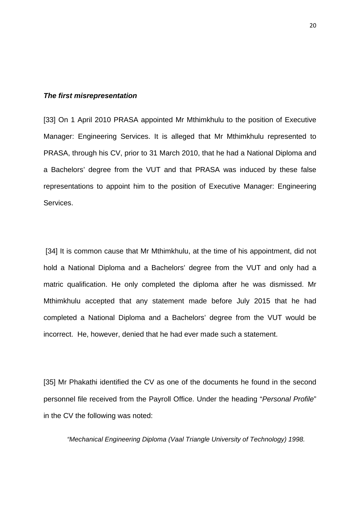#### *The first misrepresentation*

[33] On 1 April 2010 PRASA appointed Mr Mthimkhulu to the position of Executive Manager: Engineering Services. It is alleged that Mr Mthimkhulu represented to PRASA, through his CV, prior to 31 March 2010, that he had a National Diploma and a Bachelors' degree from the VUT and that PRASA was induced by these false representations to appoint him to the position of Executive Manager: Engineering Services.

[34] It is common cause that Mr Mthimkhulu, at the time of his appointment, did not hold a National Diploma and a Bachelors' degree from the VUT and only had a matric qualification. He only completed the diploma after he was dismissed. Mr Mthimkhulu accepted that any statement made before July 2015 that he had completed a National Diploma and a Bachelors' degree from the VUT would be incorrect. He, however, denied that he had ever made such a statement.

[35] Mr Phakathi identified the CV as one of the documents he found in the second personnel file received from the Payroll Office. Under the heading "*Personal Profile*" in the CV the following was noted:

*"Mechanical Engineering Diploma (Vaal Triangle University of Technology) 1998.*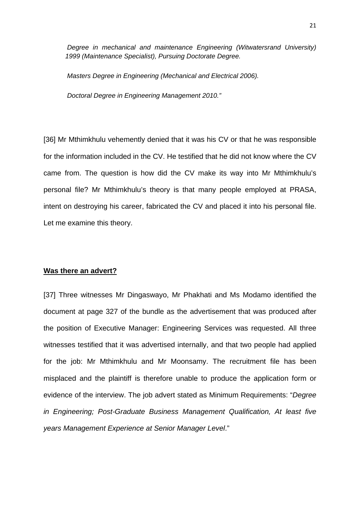*Degree in mechanical and maintenance Engineering (Witwatersrand University) 1999 (Maintenance Specialist), Pursuing Doctorate Degree.*

*Masters Degree in Engineering (Mechanical and Electrical 2006).*

*Doctoral Degree in Engineering Management 2010."*

[36] Mr Mthimkhulu vehemently denied that it was his CV or that he was responsible for the information included in the CV. He testified that he did not know where the CV came from. The question is how did the CV make its way into Mr Mthimkhulu's personal file? Mr Mthimkhulu's theory is that many people employed at PRASA, intent on destroying his career, fabricated the CV and placed it into his personal file. Let me examine this theory.

#### **Was there an advert?**

[37] Three witnesses Mr Dingaswayo, Mr Phakhati and Ms Modamo identified the document at page 327 of the bundle as the advertisement that was produced after the position of Executive Manager: Engineering Services was requested. All three witnesses testified that it was advertised internally, and that two people had applied for the job: Mr Mthimkhulu and Mr Moonsamy. The recruitment file has been misplaced and the plaintiff is therefore unable to produce the application form or evidence of the interview. The job advert stated as Minimum Requirements: "*Degree in Engineering; Post-Graduate Business Management Qualification, At least five years Management Experience at Senior Manager Level*."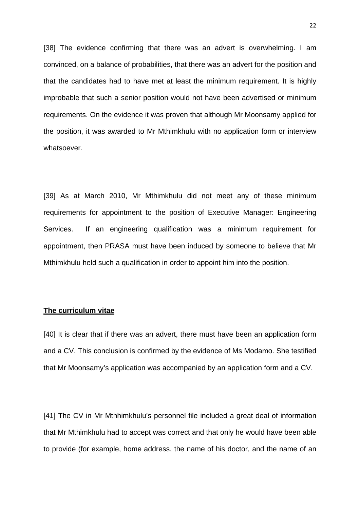[38] The evidence confirming that there was an advert is overwhelming. I am convinced, on a balance of probabilities, that there was an advert for the position and that the candidates had to have met at least the minimum requirement. It is highly improbable that such a senior position would not have been advertised or minimum requirements. On the evidence it was proven that although Mr Moonsamy applied for the position, it was awarded to Mr Mthimkhulu with no application form or interview whatsoever.

[39] As at March 2010, Mr Mthimkhulu did not meet any of these minimum requirements for appointment to the position of Executive Manager: Engineering Services. If an engineering qualification was a minimum requirement for appointment, then PRASA must have been induced by someone to believe that Mr Mthimkhulu held such a qualification in order to appoint him into the position.

## **The curriculum vitae**

[40] It is clear that if there was an advert, there must have been an application form and a CV. This conclusion is confirmed by the evidence of Ms Modamo. She testified that Mr Moonsamy's application was accompanied by an application form and a CV.

[41] The CV in Mr Mthhimkhulu's personnel file included a great deal of information that Mr Mthimkhulu had to accept was correct and that only he would have been able to provide (for example, home address, the name of his doctor, and the name of an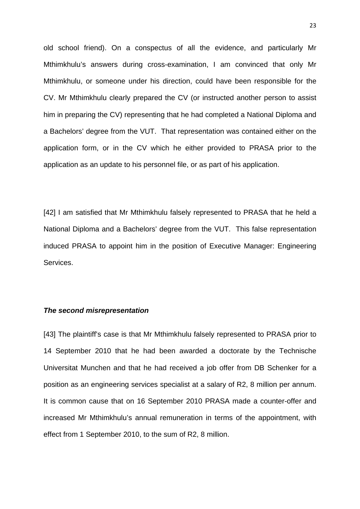old school friend). On a conspectus of all the evidence, and particularly Mr Mthimkhulu's answers during cross-examination, I am convinced that only Mr Mthimkhulu, or someone under his direction, could have been responsible for the CV. Mr Mthimkhulu clearly prepared the CV (or instructed another person to assist him in preparing the CV) representing that he had completed a National Diploma and a Bachelors' degree from the VUT. That representation was contained either on the application form, or in the CV which he either provided to PRASA prior to the application as an update to his personnel file, or as part of his application.

[42] I am satisfied that Mr Mthimkhulu falsely represented to PRASA that he held a National Diploma and a Bachelors' degree from the VUT. This false representation induced PRASA to appoint him in the position of Executive Manager: Engineering Services.

#### *The second misrepresentation*

[43] The plaintiff's case is that Mr Mthimkhulu falsely represented to PRASA prior to 14 September 2010 that he had been awarded a doctorate by the Technische Universitat Munchen and that he had received a job offer from DB Schenker for a position as an engineering services specialist at a salary of R2, 8 million per annum. It is common cause that on 16 September 2010 PRASA made a counter-offer and increased Mr Mthimkhulu's annual remuneration in terms of the appointment, with effect from 1 September 2010, to the sum of R2, 8 million.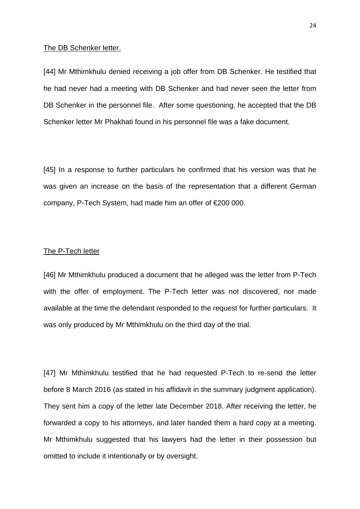#### The DB Schenker letter.

[44] Mr Mthimkhulu denied receiving a job offer from DB Schenker. He testified that he had never had a meeting with DB Schenker and had never seen the letter from DB Schenker in the personnel file. After some questioning, he accepted that the DB Schenker letter Mr Phakhati found in his personnel file was a fake document.

[45] In a response to further particulars he confirmed that his version was that he was given an increase on the basis of the representation that a different German company, P-Tech System, had made him an offer of €200 000.

#### The P-Tech letter

[46] Mr Mthimkhulu produced a document that he alleged was the letter from P-Tech with the offer of employment. The P-Tech letter was not discovered, nor made available at the time the defendant responded to the request for further particulars. It was only produced by Mr Mthimkhulu on the third day of the trial.

[47] Mr Mthimkhulu testified that he had requested P-Tech to re-send the letter before 8 March 2016 (as stated in his affidavit in the summary judgment application). They sent him a copy of the letter late December 2018. After receiving the letter, he forwarded a copy to his attorneys, and later handed them a hard copy at a meeting. Mr Mthimkhulu suggested that his lawyers had the letter in their possession but omitted to include it intentionally or by oversight.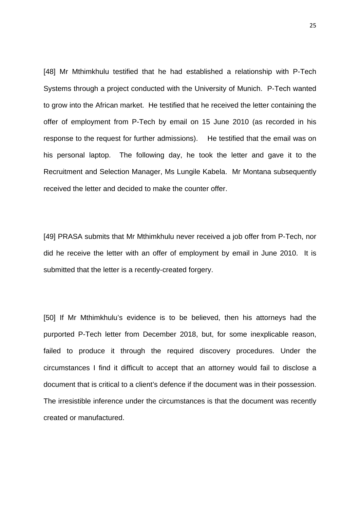[48] Mr Mthimkhulu testified that he had established a relationship with P-Tech Systems through a project conducted with the University of Munich. P-Tech wanted to grow into the African market. He testified that he received the letter containing the offer of employment from P-Tech by email on 15 June 2010 (as recorded in his response to the request for further admissions). He testified that the email was on his personal laptop. The following day, he took the letter and gave it to the Recruitment and Selection Manager, Ms Lungile Kabela. Mr Montana subsequently received the letter and decided to make the counter offer.

[49] PRASA submits that Mr Mthimkhulu never received a job offer from P-Tech, nor did he receive the letter with an offer of employment by email in June 2010. It is submitted that the letter is a recently-created forgery.

[50] If Mr Mthimkhulu's evidence is to be believed, then his attorneys had the purported P-Tech letter from December 2018, but, for some inexplicable reason, failed to produce it through the required discovery procedures. Under the circumstances I find it difficult to accept that an attorney would fail to disclose a document that is critical to a client's defence if the document was in their possession. The irresistible inference under the circumstances is that the document was recently created or manufactured.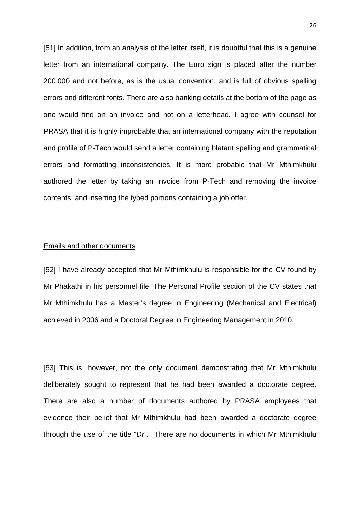[51] In addition, from an analysis of the letter itself, it is doubtful that this is a genuine letter from an international company. The Euro sign is placed after the number 200 000 and not before, as is the usual convention, and is full of obvious spelling errors and different fonts. There are also banking details at the bottom of the page as one would find on an invoice and not on a letterhead. I agree with counsel for PRASA that it is highly improbable that an international company with the reputation and profile of P-Tech would send a letter containing blatant spelling and grammatical errors and formatting inconsistencies. It is more probable that Mr Mthimkhulu authored the letter by taking an invoice from P-Tech and removing the invoice contents, and inserting the typed portions containing a job offer.

#### Emails and other documents

[52] I have already accepted that Mr Mthimkhulu is responsible for the CV found by Mr Phakathi in his personnel file. The Personal Profile section of the CV states that Mr Mthimkhulu has a Master's degree in Engineering (Mechanical and Electrical) achieved in 2006 and a Doctoral Degree in Engineering Management in 2010.

[53] This is, however, not the only document demonstrating that Mr Mthimkhulu deliberately sought to represent that he had been awarded a doctorate degree. There are also a number of documents authored by PRASA employees that evidence their belief that Mr Mthimkhulu had been awarded a doctorate degree through the use of the title "*Dr*". There are no documents in which Mr Mthimkhulu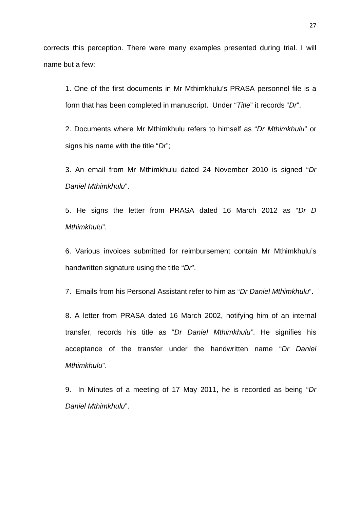corrects this perception. There were many examples presented during trial. I will name but a few:

1. One of the first documents in Mr Mthimkhulu's PRASA personnel file is a form that has been completed in manuscript. Under "*Title*" it records "*Dr*".

2. Documents where Mr Mthimkhulu refers to himself as "*Dr Mthimkhulu*" or signs his name with the title "*Dr*";

3. An email from Mr Mthimkhulu dated 24 November 2010 is signed "*Dr Daniel Mthimkhulu*".

5. He signs the letter from PRASA dated 16 March 2012 as "*Dr D Mthimkhulu*".

6. Various invoices submitted for reimbursement contain Mr Mthimkhulu's handwritten signature using the title "*Dr*".

7. Emails from his Personal Assistant refer to him as "*Dr Daniel Mthimkhulu*".

8. A letter from PRASA dated 16 March 2002, notifying him of an internal transfer, records his title as "*Dr Daniel Mthimkhulu"*. He signifies his acceptance of the transfer under the handwritten name "*Dr Daniel Mthimkhulu*".

9. In Minutes of a meeting of 17 May 2011, he is recorded as being "*Dr Daniel Mthimkhulu*".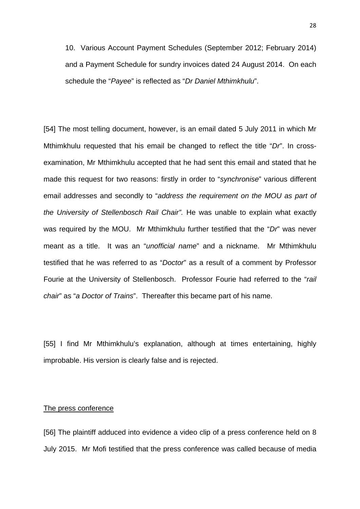10. Various Account Payment Schedules (September 2012; February 2014) and a Payment Schedule for sundry invoices dated 24 August 2014. On each schedule the "*Payee*" is reflected as "*Dr Daniel Mthimkhulu*".

[54] The most telling document, however, is an email dated 5 July 2011 in which Mr Mthimkhulu requested that his email be changed to reflect the title "*Dr*". In crossexamination, Mr Mthimkhulu accepted that he had sent this email and stated that he made this request for two reasons: firstly in order to "*synchronise*" various different email addresses and secondly to "*address the requirement on the MOU as part of the University of Stellenbosch Rail Chair".* He was unable to explain what exactly was required by the MOU. Mr Mthimkhulu further testified that the "*Dr*" was never meant as a title. It was an "*unofficial name*" and a nickname. Mr Mthimkhulu testified that he was referred to as "*Doctor*" as a result of a comment by Professor Fourie at the University of Stellenbosch. Professor Fourie had referred to the "*rail chair*" as "*a Doctor of Trains*". Thereafter this became part of his name.

[55] I find Mr Mthimkhulu's explanation, although at times entertaining, highly improbable. His version is clearly false and is rejected.

#### The press conference

[56] The plaintiff adduced into evidence a video clip of a press conference held on 8 July 2015. Mr Mofi testified that the press conference was called because of media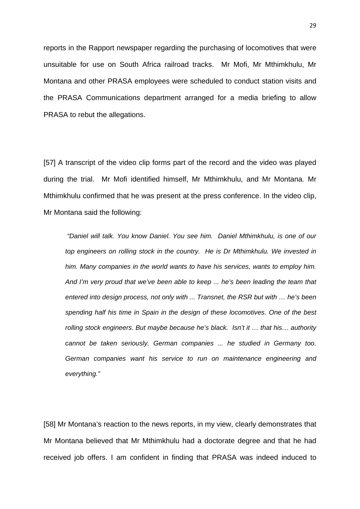reports in the Rapport newspaper regarding the purchasing of locomotives that were unsuitable for use on South Africa railroad tracks. Mr Mofi, Mr Mthimkhulu, Mr Montana and other PRASA employees were scheduled to conduct station visits and the PRASA Communications department arranged for a media briefing to allow PRASA to rebut the allegations.

[57] A transcript of the video clip forms part of the record and the video was played during the trial. Mr Mofi identified himself, Mr Mthimkhulu, and Mr Montana. Mr Mthimkhulu confirmed that he was present at the press conference. In the video clip, Mr Montana said the following:

*"Daniel will talk. You know Daniel. You see him. Daniel Mthimkhulu, is one of our top engineers on rolling stock in the country. He is Dr Mthimkhulu. We invested in him. Many companies in the world wants to have his services, wants to employ him. And I'm very proud that we've been able to keep ... he's been leading the team that entered into design process, not only with ... Transnet, the RSR but with … he's been spending half his time in Spain in the design of these locomotives. One of the best rolling stock engineers. But maybe because he's black. Isn't it … that his… authority cannot be taken seriously. German companies ... he studied in Germany too. German companies want his service to run on maintenance engineering and everything."*

[58] Mr Montana's reaction to the news reports, in my view, clearly demonstrates that Mr Montana believed that Mr Mthimkhulu had a doctorate degree and that he had received job offers. I am confident in finding that PRASA was indeed induced to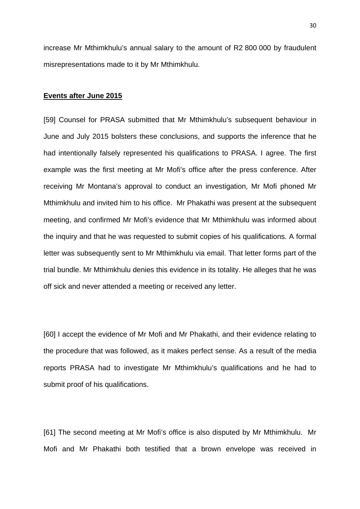increase Mr Mthimkhulu's annual salary to the amount of R2 800 000 by fraudulent misrepresentations made to it by Mr Mthimkhulu.

#### **Events after June 2015**

[59] Counsel for PRASA submitted that Mr Mthimkhulu's subsequent behaviour in June and July 2015 bolsters these conclusions, and supports the inference that he had intentionally falsely represented his qualifications to PRASA. I agree. The first example was the first meeting at Mr Mofi's office after the press conference. After receiving Mr Montana's approval to conduct an investigation, Mr Mofi phoned Mr Mthimkhulu and invited him to his office. Mr Phakathi was present at the subsequent meeting, and confirmed Mr Mofi's evidence that Mr Mthimkhulu was informed about the inquiry and that he was requested to submit copies of his qualifications. A formal letter was subsequently sent to Mr Mthimkhulu via email. That letter forms part of the trial bundle. Mr Mthimkhulu denies this evidence in its totality. He alleges that he was off sick and never attended a meeting or received any letter.

[60] I accept the evidence of Mr Mofi and Mr Phakathi, and their evidence relating to the procedure that was followed, as it makes perfect sense. As a result of the media reports PRASA had to investigate Mr Mthimkhulu's qualifications and he had to submit proof of his qualifications.

[61] The second meeting at Mr Mofi's office is also disputed by Mr Mthimkhulu. Mr Mofi and Mr Phakathi both testified that a brown envelope was received in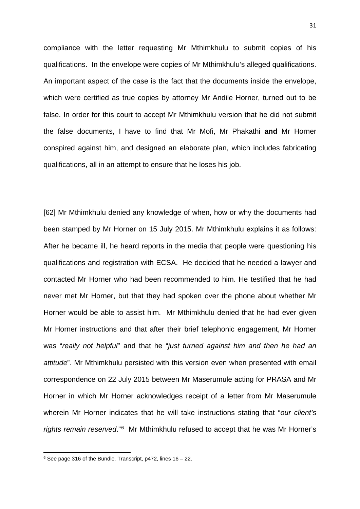compliance with the letter requesting Mr Mthimkhulu to submit copies of his qualifications. In the envelope were copies of Mr Mthimkhulu's alleged qualifications. An important aspect of the case is the fact that the documents inside the envelope, which were certified as true copies by attorney Mr Andile Horner, turned out to be false. In order for this court to accept Mr Mthimkhulu version that he did not submit the false documents, I have to find that Mr Mofi, Mr Phakathi **and** Mr Horner conspired against him, and designed an elaborate plan, which includes fabricating qualifications, all in an attempt to ensure that he loses his job.

[62] Mr Mthimkhulu denied any knowledge of when, how or why the documents had been stamped by Mr Horner on 15 July 2015. Mr Mthimkhulu explains it as follows: After he became ill, he heard reports in the media that people were questioning his qualifications and registration with ECSA. He decided that he needed a lawyer and contacted Mr Horner who had been recommended to him. He testified that he had never met Mr Horner, but that they had spoken over the phone about whether Mr Horner would be able to assist him. Mr Mthimkhulu denied that he had ever given Mr Horner instructions and that after their brief telephonic engagement, Mr Horner was "*really not helpful*" and that he "*just turned against him and then he had an attitude*". Mr Mthimkhulu persisted with this version even when presented with email correspondence on 22 July 2015 between Mr Maserumule acting for PRASA and Mr Horner in which Mr Horner acknowledges receipt of a letter from Mr Maserumule wherein Mr Horner indicates that he will take instructions stating that "*our client's rights remain reserved*."[6](#page-30-0) Mr Mthimkhulu refused to accept that he was Mr Horner's

<span id="page-30-0"></span> $6$  See page 316 of the Bundle. Transcript, p472, lines  $16 - 22$ .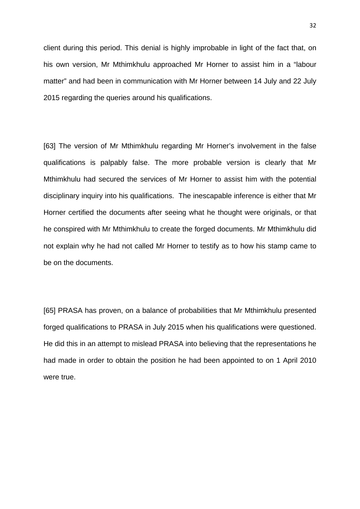client during this period. This denial is highly improbable in light of the fact that, on his own version, Mr Mthimkhulu approached Mr Horner to assist him in a "labour matter" and had been in communication with Mr Horner between 14 July and 22 July 2015 regarding the queries around his qualifications.

[63] The version of Mr Mthimkhulu regarding Mr Horner's involvement in the false qualifications is palpably false. The more probable version is clearly that Mr Mthimkhulu had secured the services of Mr Horner to assist him with the potential disciplinary inquiry into his qualifications. The inescapable inference is either that Mr Horner certified the documents after seeing what he thought were originals, or that he conspired with Mr Mthimkhulu to create the forged documents. Mr Mthimkhulu did not explain why he had not called Mr Horner to testify as to how his stamp came to be on the documents.

[65] PRASA has proven, on a balance of probabilities that Mr Mthimkhulu presented forged qualifications to PRASA in July 2015 when his qualifications were questioned. He did this in an attempt to mislead PRASA into believing that the representations he had made in order to obtain the position he had been appointed to on 1 April 2010 were true.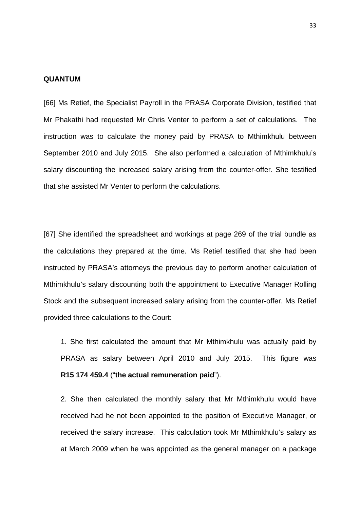#### **QUANTUM**

[66] Ms Retief, the Specialist Payroll in the PRASA Corporate Division, testified that Mr Phakathi had requested Mr Chris Venter to perform a set of calculations. The instruction was to calculate the money paid by PRASA to Mthimkhulu between September 2010 and July 2015. She also performed a calculation of Mthimkhulu's salary discounting the increased salary arising from the counter-offer. She testified that she assisted Mr Venter to perform the calculations.

[67] She identified the spreadsheet and workings at page 269 of the trial bundle as the calculations they prepared at the time. Ms Retief testified that she had been instructed by PRASA's attorneys the previous day to perform another calculation of Mthimkhulu's salary discounting both the appointment to Executive Manager Rolling Stock and the subsequent increased salary arising from the counter-offer. Ms Retief provided three calculations to the Court:

1. She first calculated the amount that Mr Mthimkhulu was actually paid by PRASA as salary between April 2010 and July 2015. This figure was **R15 174 459.4** ("**the actual remuneration paid**").

2. She then calculated the monthly salary that Mr Mthimkhulu would have received had he not been appointed to the position of Executive Manager, or received the salary increase. This calculation took Mr Mthimkhulu's salary as at March 2009 when he was appointed as the general manager on a package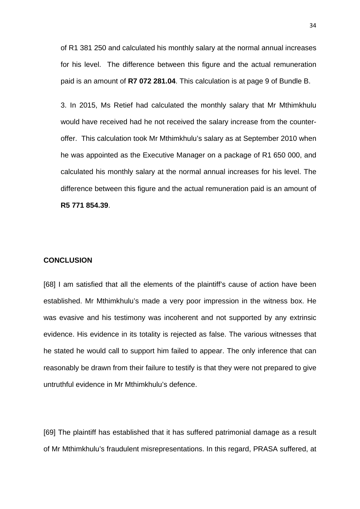of R1 381 250 and calculated his monthly salary at the normal annual increases for his level. The difference between this figure and the actual remuneration paid is an amount of **R7 072 281.04**. This calculation is at page 9 of Bundle B.

3. In 2015, Ms Retief had calculated the monthly salary that Mr Mthimkhulu would have received had he not received the salary increase from the counteroffer. This calculation took Mr Mthimkhulu's salary as at September 2010 when he was appointed as the Executive Manager on a package of R1 650 000, and calculated his monthly salary at the normal annual increases for his level. The difference between this figure and the actual remuneration paid is an amount of **R5 771 854.39**.

### **CONCLUSION**

[68] I am satisfied that all the elements of the plaintiff's cause of action have been established. Mr Mthimkhulu's made a very poor impression in the witness box. He was evasive and his testimony was incoherent and not supported by any extrinsic evidence. His evidence in its totality is rejected as false. The various witnesses that he stated he would call to support him failed to appear. The only inference that can reasonably be drawn from their failure to testify is that they were not prepared to give untruthful evidence in Mr Mthimkhulu's defence.

[69] The plaintiff has established that it has suffered patrimonial damage as a result of Mr Mthimkhulu's fraudulent misrepresentations. In this regard, PRASA suffered, at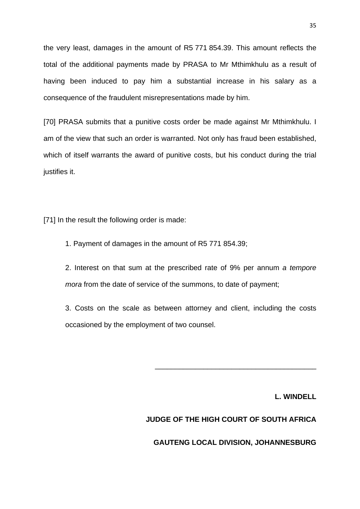the very least, damages in the amount of R5 771 854.39. This amount reflects the total of the additional payments made by PRASA to Mr Mthimkhulu as a result of having been induced to pay him a substantial increase in his salary as a consequence of the fraudulent misrepresentations made by him.

[70] PRASA submits that a punitive costs order be made against Mr Mthimkhulu. I am of the view that such an order is warranted. Not only has fraud been established, which of itself warrants the award of punitive costs, but his conduct during the trial justifies it.

[71] In the result the following order is made:

1. Payment of damages in the amount of R5 771 854.39;

2. Interest on that sum at the prescribed rate of 9% per annum *a tempore mora* from the date of service of the summons, to date of payment;

3. Costs on the scale as between attorney and client, including the costs occasioned by the employment of two counsel.

**L. WINDELL**

### **JUDGE OF THE HIGH COURT OF SOUTH AFRICA**

\_\_\_\_\_\_\_\_\_\_\_\_\_\_\_\_\_\_\_\_\_\_\_\_\_\_\_\_\_\_\_\_\_\_\_\_\_\_\_\_

**GAUTENG LOCAL DIVISION, JOHANNESBURG**